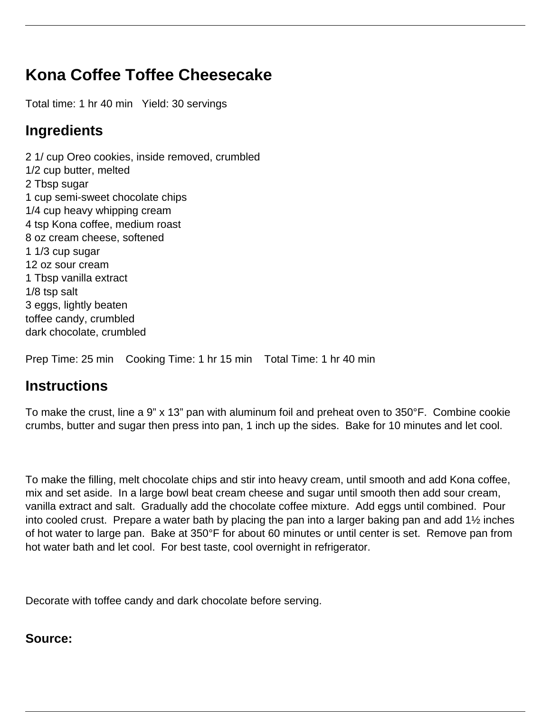## **Kona Coffee Toffee Cheesecake**

Total time: 1 hr 40 min Yield: 30 servings

## **Ingredients**

2 1/ cup Oreo cookies, inside removed, crumbled 1/2 cup butter, melted 2 Tbsp sugar 1 cup semi-sweet chocolate chips 1/4 cup heavy whipping cream 4 tsp Kona coffee, medium roast 8 oz cream cheese, softened 1 1/3 cup sugar 12 oz sour cream 1 Tbsp vanilla extract 1/8 tsp salt 3 eggs, lightly beaten toffee candy, crumbled dark chocolate, crumbled

Prep Time: 25 min Cooking Time: 1 hr 15 min Total Time: 1 hr 40 min

## **Instructions**

To make the crust, line a 9" x 13" pan with aluminum foil and preheat oven to 350°F. Combine cookie crumbs, butter and sugar then press into pan, 1 inch up the sides. Bake for 10 minutes and let cool.

To make the filling, melt chocolate chips and stir into heavy cream, until smooth and add Kona coffee, mix and set aside. In a large bowl beat cream cheese and sugar until smooth then add sour cream, vanilla extract and salt. Gradually add the chocolate coffee mixture. Add eggs until combined. Pour into cooled crust. Prepare a water bath by placing the pan into a larger baking pan and add 1½ inches of hot water to large pan. Bake at 350°F for about 60 minutes or until center is set. Remove pan from hot water bath and let cool. For best taste, cool overnight in refrigerator.

Decorate with toffee candy and dark chocolate before serving.

## **Source:**